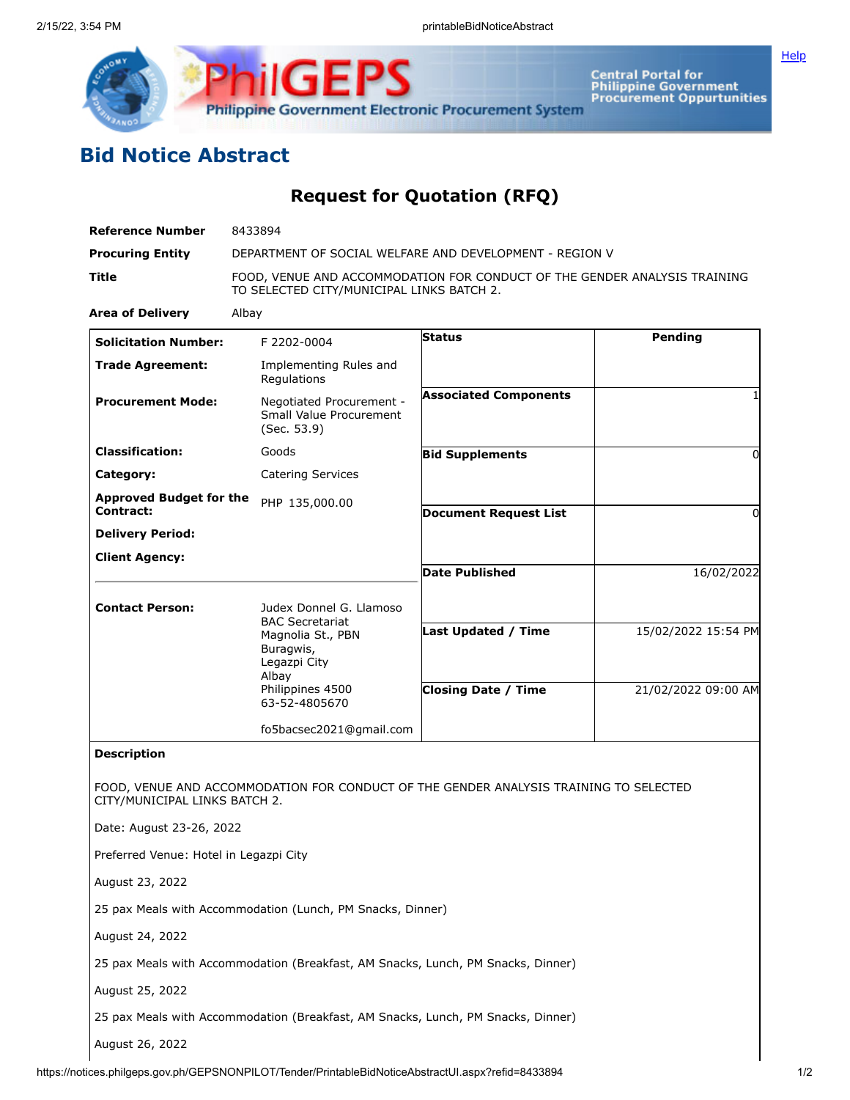

**iliGEPS Philippine Government Electronic Procurement System** 

**Central Portal for<br>Philippine Government<br>Procurement Oppurtunities** 

## **Bid Notice Abstract**

## **Request for Quotation (RFQ)**

| <b>Reference Number</b>                            | 8433894                                                                                                                                           |                              |                     |
|----------------------------------------------------|---------------------------------------------------------------------------------------------------------------------------------------------------|------------------------------|---------------------|
| <b>Procuring Entity</b>                            | DEPARTMENT OF SOCIAL WELFARE AND DEVELOPMENT - REGION V                                                                                           |                              |                     |
| <b>Title</b>                                       | FOOD, VENUE AND ACCOMMODATION FOR CONDUCT OF THE GENDER ANALYSIS TRAINING<br>TO SELECTED CITY/MUNICIPAL LINKS BATCH 2.                            |                              |                     |
| <b>Area of Delivery</b>                            | Albay                                                                                                                                             |                              |                     |
| <b>Solicitation Number:</b>                        | F 2202-0004                                                                                                                                       | Status                       | Pending             |
| <b>Trade Agreement:</b>                            | Implementing Rules and<br>Regulations                                                                                                             |                              |                     |
| <b>Procurement Mode:</b>                           | Negotiated Procurement -<br>Small Value Procurement<br>(Sec. 53.9)                                                                                | <b>Associated Components</b> |                     |
| <b>Classification:</b>                             | Goods                                                                                                                                             | <b>Bid Supplements</b>       | 0                   |
| Category:                                          | <b>Catering Services</b>                                                                                                                          |                              |                     |
| <b>Approved Budget for the</b><br><b>Contract:</b> | PHP 135,000.00                                                                                                                                    |                              |                     |
| <b>Delivery Period:</b>                            |                                                                                                                                                   | <b>Document Request List</b> | 0                   |
| <b>Client Agency:</b>                              |                                                                                                                                                   |                              |                     |
|                                                    |                                                                                                                                                   | <b>Date Published</b>        | 16/02/2022          |
| <b>Contact Person:</b>                             | Judex Donnel G. Llamoso<br><b>BAC Secretariat</b><br>Magnolia St., PBN<br>Buragwis,<br>Legazpi City<br>Albay<br>Philippines 4500<br>63-52-4805670 | Last Updated / Time          | 15/02/2022 15:54 PM |
|                                                    |                                                                                                                                                   | <b>Closing Date / Time</b>   | 21/02/2022 09:00 AM |
|                                                    | fo5bacsec2021@gmail.com                                                                                                                           |                              |                     |
| <b>Description</b>                                 |                                                                                                                                                   |                              |                     |
| CITY/MUNICIPAL LINKS BATCH 2.                      | FOOD, VENUE AND ACCOMMODATION FOR CONDUCT OF THE GENDER ANALYSIS TRAINING TO SELECTED                                                             |                              |                     |
| Date: August 23-26, 2022                           |                                                                                                                                                   |                              |                     |
| Preferred Venue: Hotel in Legazpi City             |                                                                                                                                                   |                              |                     |
| August 23, 2022                                    |                                                                                                                                                   |                              |                     |
|                                                    | 25 pax Meals with Accommodation (Lunch, PM Snacks, Dinner)                                                                                        |                              |                     |
| August 24, 2022                                    |                                                                                                                                                   |                              |                     |
|                                                    | 25 pax Meals with Accommodation (Breakfast, AM Snacks, Lunch, PM Snacks, Dinner)                                                                  |                              |                     |
| August 25, 2022                                    |                                                                                                                                                   |                              |                     |
|                                                    | 25 pax Meals with Accommodation (Breakfast, AM Snacks, Lunch, PM Snacks, Dinner)                                                                  |                              |                     |
| August 26, 2022                                    |                                                                                                                                                   |                              |                     |